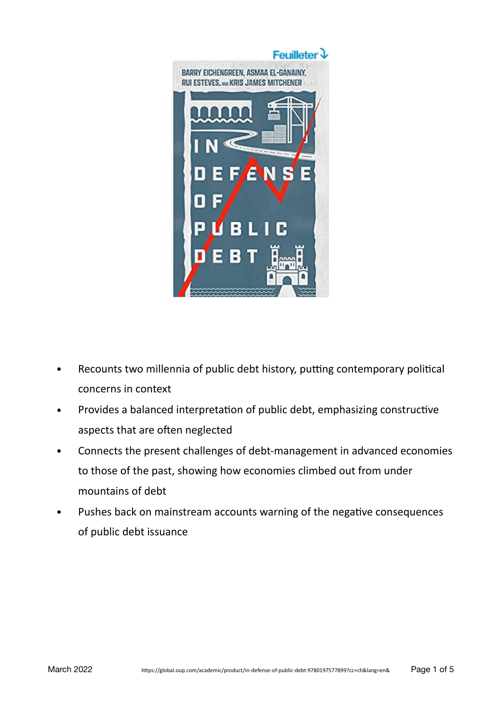

- Recounts two millennia of public debt history, putting contemporary political concerns in context
- Provides a balanced interpretation of public debt, emphasizing constructive aspects that are often neglected
- Connects the present challenges of debt-management in advanced economies to those of the past, showing how economies climbed out from under mountains of debt
- Pushes back on mainstream accounts warning of the negative consequences of public debt issuance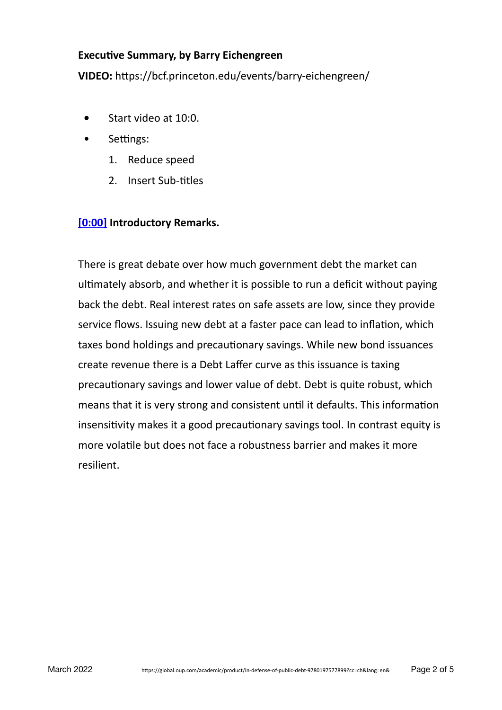# **Executive Summary, by Barry Eichengreen**

 **VIDEO:** https://bcf.princeton.edu/events/barry-eichengreen/

- **Start video at 10:0.**
- Settings:
	- 1. Reduce speed
	- 2. Insert Sub-titles

# **[0:00]** Introductory Remarks.

There is great debate over how much government debt the market can ultimately absorb, and whether it is possible to run a deficit without paying back the debt. Real interest rates on safe assets are low, since they provide service flows. Issuing new debt at a faster pace can lead to inflation, which taxes bond holdings and precautionary savings. While new bond issuances create revenue there is a Debt Laffer curve as this issuance is taxing precautionary savings and lower value of debt. Debt is quite robust, which means that it is very strong and consistent until it defaults. This information insensitivity makes it a good precautionary savings tool. In contrast equity is more volatile but does not face a robustness barrier and makes it more resilient.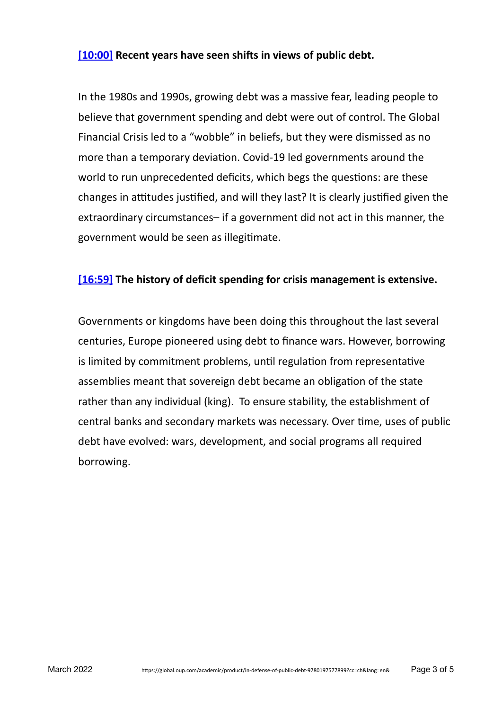## **[\[10:00\]](https://youtu.be/OUqpgYf09Vw?t=600)** Recent years have seen shifts in views of public debt.

In the 1980s and 1990s, growing debt was a massive fear, leading people to believe that government spending and debt were out of control. The Global Financial Crisis led to a "wobble" in beliefs, but they were dismissed as no more than a temporary deviation. Covid-19 led governments around the world to run unprecedented deficits, which begs the questions: are these changes in attitudes justified, and will they last? It is clearly justified given the extraordinary circumstances– if a government did not act in this manner, the government would be seen as illegitimate.

### **[\[16:59\]](https://youtu.be/OUqpgYf09Vw?t=1019)** The history of deficit spending for crisis management is extensive.

Governments or kingdoms have been doing this throughout the last several centuries, Europe pioneered using debt to finance wars. However, borrowing is limited by commitment problems, until regulation from representative assemblies meant that sovereign debt became an obligation of the state rather than any individual (king). To ensure stability, the establishment of central banks and secondary markets was necessary. Over time, uses of public debt have evolved: wars, development, and social programs all required borrowing.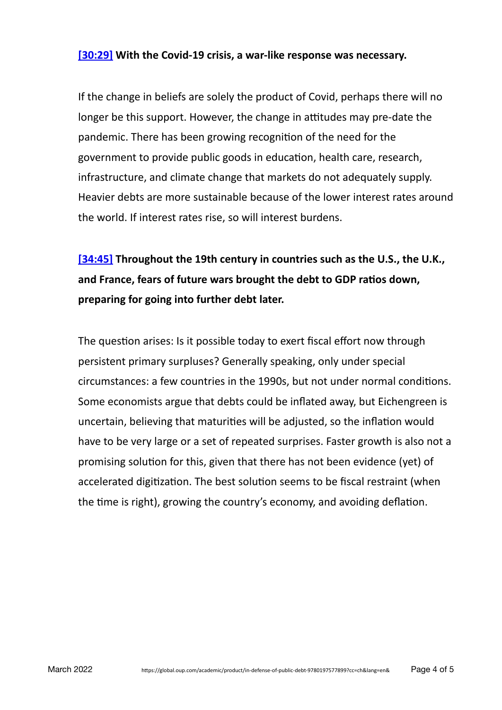#### **[\[30:29\]](https://youtu.be/OUqpgYf09Vw?t=1829https://youtu.be/OUqpgYf09Vw?t=1829)** With the Covid-19 crisis, a war-like response was necessary.

If the change in beliefs are solely the product of Covid, perhaps there will no longer be this support. However, the change in attitudes may pre-date the pandemic. There has been growing recognition of the need for the government to provide public goods in education, health care, research, infrastructure, and climate change that markets do not adequately supply. Heavier debts are more sustainable because of the lower interest rates around the world. If interest rates rise, so will interest burdens.

**[\[34:45\]](https://youtu.be/OUqpgYf09Vw?t=2085)** Throughout the 19th century in countries such as the U.S., the U.K., and France, fears of future wars brought the debt to GDP ratios down, preparing for going into further debt later.

The question arises: Is it possible today to exert fiscal effort now through persistent primary surpluses? Generally speaking, only under special circumstances: a few countries in the 1990s, but not under normal conditions. Some economists argue that debts could be inflated away, but Eichengreen is uncertain, believing that maturities will be adjusted, so the inflation would have to be very large or a set of repeated surprises. Faster growth is also not a promising solution for this, given that there has not been evidence (yet) of accelerated digitization. The best solution seems to be fiscal restraint (when the time is right), growing the country's economy, and avoiding deflation.